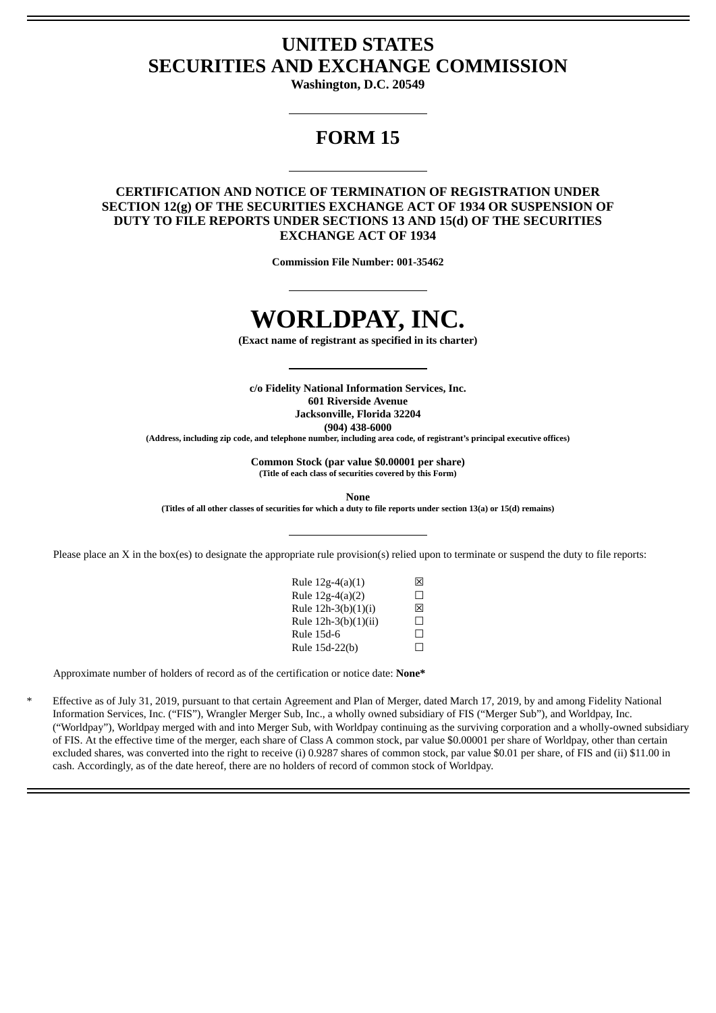## **UNITED STATES SECURITIES AND EXCHANGE COMMISSION**

**Washington, D.C. 20549**

## **FORM 15**

### **CERTIFICATION AND NOTICE OF TERMINATION OF REGISTRATION UNDER SECTION 12(g) OF THE SECURITIES EXCHANGE ACT OF 1934 OR SUSPENSION OF DUTY TO FILE REPORTS UNDER SECTIONS 13 AND 15(d) OF THE SECURITIES EXCHANGE ACT OF 1934**

**Commission File Number: 001-35462**

# **WORLDPAY, INC.**

**(Exact name of registrant as specified in its charter)**

**c/o Fidelity National Information Services, Inc. 601 Riverside Avenue Jacksonville, Florida 32204 (904) 438-6000**

**(Address, including zip code, and telephone number, including area code, of registrant's principal executive offices)**

**Common Stock (par value \$0.00001 per share) (Title of each class of securities covered by this Form)**

**None**

(Titles of all other classes of securities for which a duty to file reports under section 13(a) or 15(d) remains)

Please place an X in the box(es) to designate the appropriate rule provision(s) relied upon to terminate or suspend the duty to file reports:

| Rule 12g-4(a)(1)     | 冈  |
|----------------------|----|
| Rule 12g-4(a)(2)     | П  |
| Rule 12h-3(b)(1)(i)  | 冈  |
| Rule 12h-3(b)(1)(ii) | П  |
| Rule 15d-6           | П  |
| Rule 15d-22(b)       | ΙI |

Approximate number of holders of record as of the certification or notice date: **None\***

Effective as of July 31, 2019, pursuant to that certain Agreement and Plan of Merger, dated March 17, 2019, by and among Fidelity National Information Services, Inc. ("FIS"), Wrangler Merger Sub, Inc., a wholly owned subsidiary of FIS ("Merger Sub"), and Worldpay, Inc. ("Worldpay"), Worldpay merged with and into Merger Sub, with Worldpay continuing as the surviving corporation and a wholly-owned subsidiary of FIS. At the effective time of the merger, each share of Class A common stock, par value \$0.00001 per share of Worldpay, other than certain excluded shares, was converted into the right to receive (i) 0.9287 shares of common stock, par value \$0.01 per share, of FIS and (ii) \$11.00 in cash. Accordingly, as of the date hereof, there are no holders of record of common stock of Worldpay.